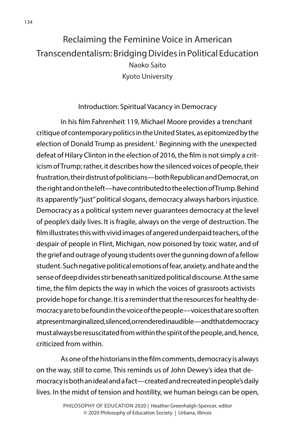## Reclaiming the Feminine Voice in American Transcendentalism: Bridging Divides in Political Education Naoko Saito Kyoto University

## Introduction: Spiritual Vacancy in Democracy

In his film Fahrenheit 119, Michael Moore provides a trenchant critique of contemporary politics in the United States, as epitomized by the election of Donald Trump as president.<sup>1</sup> Beginning with the unexpected defeat of Hilary Clinton in the election of 2016, the film is not simply a criticism of Trump; rather, it describes how the silenced voices of people, their frustration, their distrust of politicians—both Republican and Democrat, on the right and on the left—have contributed to the election of Trump. Behind its apparently "just" political slogans, democracy always harbors injustice. Democracy as a political system never guarantees democracy at the level of people's daily lives. It is fragile, always on the verge of destruction. The film illustrates this with vivid images of angered underpaid teachers, of the despair of people in Flint, Michigan, now poisoned by toxic water, and of the grief and outrage of young students over the gunning down of a fellow student. Such negative political emotions of fear, anxiety, and hate and the sense of deep divides stir beneath sanitized political discourse. At the same time, the film depicts the way in which the voices of grassroots activists provide hope for change. It is a reminder that the resources for healthy democracy are to be found in the voice of the people—voices that are so often at present marginalized, silenced, or rendered inaudible—and that democracy must always be resuscitated from within the spirit of the people, and, hence, criticized from within.

As one of the historians in the film comments, democracy is always on the way, still to come. This reminds us of John Dewey's idea that democracy is both an ideal and a fact—created and recreated in people's daily lives. In the midst of tension and hostility, we human beings can be open,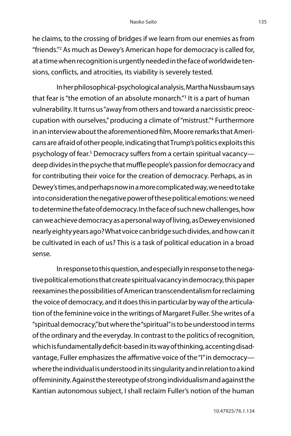he claims, to the crossing of bridges if we learn from our enemies as from "friends."2 As much as Dewey's American hope for democracy is called for, at a time when recognition is urgently needed in the face of worldwide tensions, conflicts, and atrocities, its viability is severely tested.

In her philosophical-psychological analysis, Martha Nussbaum says that fear is "the emotion of an absolute monarch."<sup>3</sup> It is a part of human vulnerability. It turns us "away from others and toward a narcissistic preoccupation with ourselves," producing a climate of "mistrust."4 Furthermore in an interview about the aforementioned film, Moore remarks that Americans are afraid of other people, indicating that Trump's politics exploits this psychology of fear.<sup>5</sup> Democracy suffers from a certain spiritual vacancy deep divides in the psyche that muffle people's passion for democracy and for contributing their voice for the creation of democracy. Perhaps, as in Dewey's times, and perhaps now in a more complicated way, we need to take into consideration the negative power of these political emotions: we need to determine the fate of democracy. In the face of such new challenges, how can we achieve democracy as a personal way of living, as Dewey envisioned nearly eighty years ago? What voice can bridge such divides, and how can it be cultivated in each of us? This is a task of political education in a broad sense.

In response to this question, and especially in response to the negative political emotions that create spiritual vacancy in democracy, this paper reexamines the possibilities of American transcendentalism for reclaiming the voice of democracy, and it does this in particular by way of the articulation of the feminine voice in the writings of Margaret Fuller. She writes of a "spiritual democracy," but where the "spiritual" is to be understood in terms of the ordinary and the everyday. In contrast to the politics of recognition, which is fundamentally deficit-based in its way of thinking, accenting disadvantage, Fuller emphasizes the affirmative voice of the "I" in democracy where the individual is understood in its singularity and in relation to a kind of femininity. Against the stereotype of strong individualism and against the Kantian autonomous subject, I shall reclaim Fuller's notion of the human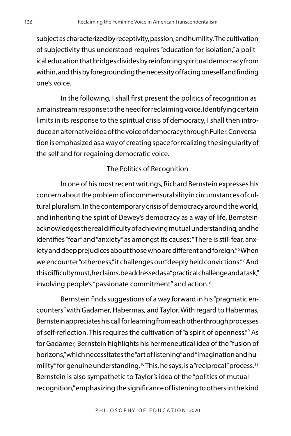subject as characterized by receptivity, passion, and humility. The cultivation of subjectivity thus understood requires "education for isolation," a political education that bridges divides by reinforcing spiritual democracy from within, and this by foregrounding the necessity of facing oneself and finding one's voice.

In the following, I shall first present the politics of recognition as a mainstream response to the need for reclaiming voice. Identifying certain limits in its response to the spiritual crisis of democracy, I shall then introduce an alternative idea of the voice of democracy through Fuller. Conversation is emphasized as a way of creating space for realizing the singularity of the self and for regaining democratic voice.

## The Politics of Recognition

In one of his most recent writings, Richard Bernstein expresses his concern about the problem of incommensurability in circumstances of cultural pluralism. In the contemporary crisis of democracy around the world, and inheriting the spirit of Dewey's democracy as a way of life, Bernstein acknowledges the real difficulty of achieving mutual understanding, and he identifies "fear" and "anxiety" as amongst its causes: "There is still fear, anxiety and deep prejudices about those who are different and foreign."6 When we encounter "otherness," it challenges our "deeply held convictions."7 And this difficulty must, he claims, be addressed as a "practical challenge and a task," involving people's "passionate commitment" and action.8

Bernstein finds suggestions of a way forward in his "pragmatic encounters" with Gadamer, Habermas, and Taylor. With regard to Habermas, Bernstein appreciates his call for learning from each other through processes of self-reflection. This requires the cultivation of "a spirit of openness."9 As for Gadamer, Bernstein highlights his hermeneutical idea of the "fusion of horizons," which necessitates the "art of listening" and "imagination and humility" for genuine understanding.<sup>10</sup> This, he says, is a "reciprocal" process.<sup>11</sup> Bernstein is also sympathetic to Taylor's idea of the "politics of mutual recognition," emphasizing the significance of listening to others in the kind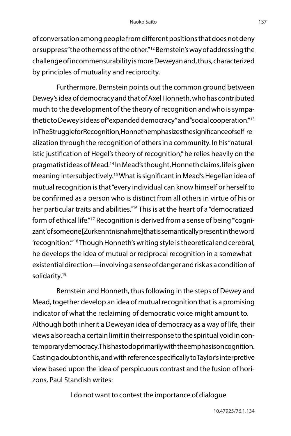of conversation among people from different positions that does not deny or suppress "the otherness of the other."12 Bernstein's way of addressing the challenge of incommensurability is more Deweyan and, thus, characterized by principles of mutuality and reciprocity.

Furthermore, Bernstein points out the common ground between Dewey's idea of democracy and that of Axel Honneth, who has contributed much to the development of the theory of recognition and who is sympathetic to Dewey's ideas of "expanded democracy" and "social cooperation."13 In The Struggle for Recognition, Honnethemphasizes the significance of self-realization through the recognition of others in a community. In his "naturalistic justification of Hegel's theory of recognition," he relies heavily on the pragmatist ideas of Mead.14 In Mead's thought, Honneth claims, life is given meaning intersubjectively.15 What is significant in Mead's Hegelian idea of mutual recognition is that "every individual can know himself or herself to be confirmed as a person who is distinct from all others in virtue of his or her particular traits and abilities."<sup>16</sup> This is at the heart of a "democratized form of ethical life."<sup>17</sup> Recognition is derived from a sense of being "'cognizant' of someone [Zurkenntnisnahme] that is semantically present in the word 'recognition.'"18 Though Honneth's writing style is theoretical and cerebral, he develops the idea of mutual or reciprocal recognition in a somewhat existential direction—involving a sense of danger and risk as a condition of solidarity.<sup>19</sup>

Bernstein and Honneth, thus following in the steps of Dewey and Mead, together develop an idea of mutual recognition that is a promising indicator of what the reclaiming of democratic voice might amount to. Although both inherit a Deweyan idea of democracy as a way of life, their views also reach a certain limit in their response to the spiritual void in contemporary democracy. This has to do primarily with the emphasis on cognition. Casting a doubt on this, and with reference specifically to Taylor's interpretive view based upon the idea of perspicuous contrast and the fusion of horizons, Paul Standish writes:

I do not want to contest the importance of dialogue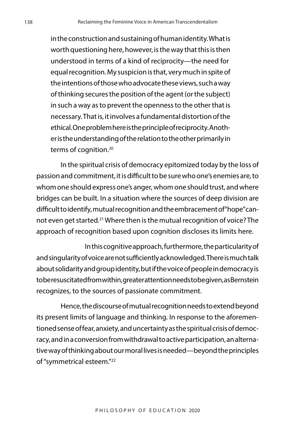in the construction and sustaining of human identity. What is worth questioning here, however, is the way that this is then understood in terms of a kind of reciprocity—the need for equal recognition. My suspicion is that, very much in spite of the intentions of those who advocate these views, such a way of thinking secures the position of the agent (or the subject) in such a way as to prevent the openness to the other that is necessary. That is, it involves a fundamental distortion of the ethical. One problem here is the principle of reciprocity. Another is the understanding of the relation to the other primarily in terms of cognition. 20

In the spiritual crisis of democracy epitomized today by the loss of passion and commitment, it is difficult to be sure who one's enemies are, to whom one should express one's anger, whom one should trust, and where bridges can be built. In a situation where the sources of deep division are difficult to identify, mutual recognition and the embracement of "hope" cannot even get started.21 Where then is the mutual recognition of voice? The approach of recognition based upon cognition discloses its limits here.

In this cognitive approach, furthermore, the particularity of and singularity of voice are not sufficiently acknowledged. There is much talk about solidarity and group identity, but if the voice of people in democracy is to be resuscitated from within, greater attention needs to be given, as Bernstein recognizes, to the sources of passionate commitment.

Hence, the discourse of mutual recognition needs to extend beyond its present limits of language and thinking. In response to the aforementioned sense of fear, anxiety, and uncertainty as the spiritual crisis of democracy, and in a conversion from withdrawal to active participation, an alternative way of thinking about our moral lives is needed—beyond the principles of "symmetrical esteem."22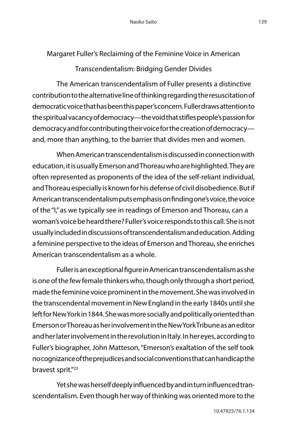Margaret Fuller's Reclaiming of the Feminine Voice in American

Transcendentalism: Bridging Gender Divides

The American transcendentalism of Fuller presents a distinctive contribution to the alternative line of thinking regarding the resuscitation of democratic voice that has been this paper's concern. Fuller draws attention to the spiritual vacancy of democracy—the void that stifles people's passion for democracy and for contributing their voice for the creation of democracy and, more than anything, to the barrier that divides men and women.

When American transcendentalism is discussed in connection with education, it is usually Emerson and Thoreau who are highlighted. They are often represented as proponents of the idea of the self-reliant individual, and Thoreau especially is known for his defense of civil disobedience. But if American transcendentalism puts emphasis on finding one's voice, the voice of the "I," as we typically see in readings of Emerson and Thoreau, can a woman's voice be heard there? Fuller's voice responds to this call. She is not usually included in discussions of transcendentalism and education. Adding a feminine perspective to the ideas of Emerson and Thoreau, she enriches American transcendentalism as a whole.

Fuller is an exceptional figure in American transcendentalism as she is one of the few female thinkers who, though only through a short period, made the feminine voice prominent in the movement. She was involved in the transcendental movement in New England in the early 1840s until she left for New York in 1844. She was more socially and politically oriented than Emerson or Thoreau as her involvement in the New York Tribune as an editor and her later involvement in the revolution in Italy. In her eyes, according to Fuller's biographer, John Matteson, "Emerson's exaltation of the self took no cognizance of the prejudices and social conventions that can handicap the bravest sprit."23

Yet she was herself deeply influenced by and in turn influenced transcendentalism. Even though her way of thinking was oriented more to the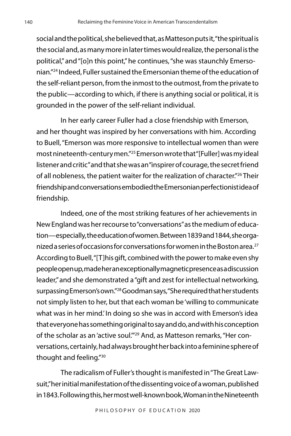social and the political, she believed that, as Matteson puts it, "the spiritual is the social and, as many more in later times would realize, the personal is the political," and "[o]n this point," he continues, "she was staunchly Emersonian."24 Indeed, Fuller sustained the Emersonian theme of the education of the self-reliant person, from the inmost to the outmost, from the private to the public—according to which, if there is anything social or political, it is grounded in the power of the self-reliant individual.

In her early career Fuller had a close friendship with Emerson, and her thought was inspired by her conversations with him. According to Buell, "Emerson was more responsive to intellectual women than were most nineteenth-century men."25 Emerson wrote that "[Fuller] was my ideal listener and critic" and that she was an "inspirer of courage, the secret friend of all nobleness, the patient waiter for the realization of character."<sup>26</sup> Their friendship and conversations embodied the Emersonian perfectionist idea of friendship.

Indeed, one of the most striking features of her achievements in New England was her recourse to "conversations" as the medium of education—especially, the education of women. Between 1839 and 1844, she organized a series of occasions for conversations for women in the Boston area.<sup>27</sup> According to Buell, "[T]his gift, combined with the power to make even shy people open up, made her an exceptionally magnetic presence as a discussion leader," and she demonstrated a "gift and zest for intellectual networking, surpassing Emerson's own."28 Goodman says, "She required that her students not simply listen to her, but that each woman be 'willing to communicate what was in her mind.' In doing so she was in accord with Emerson's idea that everyone has something original to say and do, and with his conception of the scholar as an 'active soul.'"29 And, as Matteson remarks, "Her conversations, certainly, had always brought her back into a feminine sphere of thought and feeling."30

The radicalism of Fuller's thought is manifested in "The Great Lawsuit," her initial manifestation of the dissenting voice of a woman, published in 1843. Following this, her most well-known book, Woman in the Nineteenth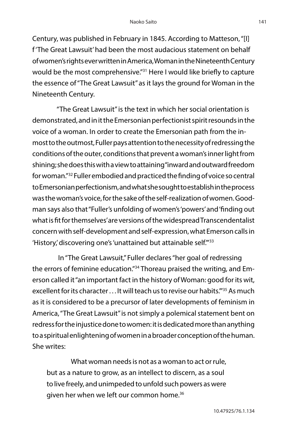Century, was published in February in 1845. According to Matteson, "[I] f 'The Great Lawsuit' had been the most audacious statement on behalf of women's rights ever written in America, Woman in the Nineteenth Century would be the most comprehensive."31 Here I would like briefly to capture the essence of "The Great Lawsuit" as it lays the ground for Woman in the Nineteenth Century.

"The Great Lawsuit" is the text in which her social orientation is demonstrated, and in it the Emersonian perfectionist spirit resounds in the voice of a woman. In order to create the Emersonian path from the inmost to the outmost, Fuller pays attention to the necessity of redressing the conditions of the outer, conditions that prevent a woman's inner light from shining; she does this with a view to attaining "inward and outward freedom for woman."32 Fuller embodied and practiced the finding of voice so central to Emersonian perfectionism, and what she sought to establish in the process was the woman's voice, for the sake of the self-realization of women. Goodman says also that "Fuller's unfolding of women's 'powers' and 'finding out what is fit for themselves' are versions of the widespread Transcendentalist concern with self-development and self-expression, what Emerson calls in 'History,' discovering one's 'unattained but attainable self."<sup>33</sup>

 In "The Great Lawsuit," Fuller declares "her goal of redressing the errors of feminine education."34 Thoreau praised the writing, and Emerson called it "an important fact in the history of Woman: good for its wit, excellent for its character . . . It will teach us to revise our habits."<sup>35</sup> As much as it is considered to be a precursor of later developments of feminism in America, "The Great Lawsuit" is not simply a polemical statement bent on redress for the injustice done to women: it is dedicated more than anything to a spiritual enlightening of women in a broader conception of the human. She writes:

What woman needs is not as a woman to act or rule, but as a nature to grow, as an intellect to discern, as a soul to live freely, and unimpeded to unfold such powers as were given her when we left our common home.<sup>36</sup>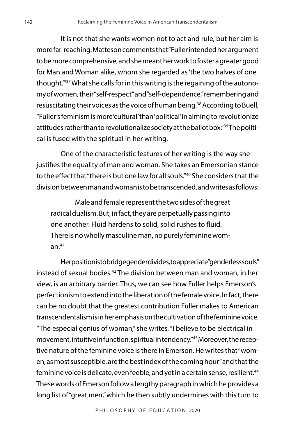It is not that she wants women not to act and rule, but her aim is more far-reaching. Matteson comments that "Fuller intended her argument to be more comprehensive, and she meant her work to foster a greater good for Man and Woman alike, whom she regarded as 'the two halves of one thought.'"37 What she calls for in this writing is the regaining of the autonomy of women, their "self-respect" and "self-dependence," remembering and resuscitating their voices as the voice of human being.38 According to Buell, "Fuller's feminism is more 'cultural' than 'political' in aiming to revolutionize attitudes rather than to revolutionalize society at the ballot box."39 The political is fused with the spiritual in her writing.

One of the characteristic features of her writing is the way she justifies the equality of man and woman. She takes an Emersonian stance to the effect that "there is but one law for all souls."40 She considers that the division between man and woman is to be transcended, and writes as follows:

Male and female represent the two sides of the great radical dualism. But, in fact, they are perpetually passing into one another. Fluid hardens to solid, solid rushes to fluid. There is no wholly masculine man, no purely feminine woman. $41$ 

Herposition is to bridge gender divides, to appreciate "genderless souls" instead of sexual bodies.42 The division between man and woman, in her view, is an arbitrary barrier. Thus, we can see how Fuller helps Emerson's perfectionism to extend into the liberation of the female voice. In fact, there can be no doubt that the greatest contribution Fuller makes to American transcendentalism is in her emphasis on the cultivation of the feminine voice. "The especial genius of woman," she writes, "I believe to be electrical in movement, intuitive in function, spiritual in tendency."43 Moreover, the receptive nature of the feminine voice is there in Emerson. He writes that "women, as most susceptible, are the best index of the coming hour" and that the feminine voice is delicate, even feeble, and yet in a certain sense, resilient.<sup>44</sup> These words of Emerson follow a lengthy paragraph in which he provides a long list of "great men," which he then subtly undermines with this turn to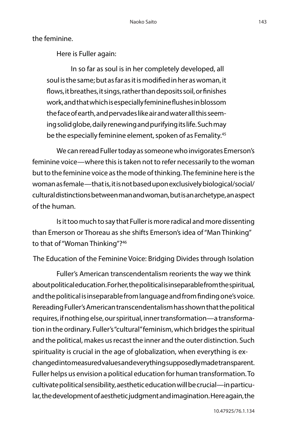the feminine.

Here is Fuller again:

In so far as soul is in her completely developed, all soul is the same; but as far as it is modified in her as woman, it flows, it breathes, it sings, rather than deposits soil, or finishes work, and that which is especially feminine flushes in blossom the face of earth, and pervades like air and water all this seeming solid globe, daily renewing and purifying its life. Such may be the especially feminine element, spoken of as Femality.<sup>45</sup>

We can reread Fuller today as someone who invigorates Emerson's feminine voice—where this is taken not to refer necessarily to the woman but to the feminine voice as the mode of thinking. The feminine here is the woman as female—that is, it is not based upon exclusively biological/social/ cultural distinctions between man and woman, but is an archetype, an aspect of the human.

Is it too much to say that Fuller is more radical and more dissenting than Emerson or Thoreau as she shifts Emerson's idea of "Man Thinking" to that of "Woman Thinking"?46

The Education of the Feminine Voice: Bridging Divides through Isolation

Fuller's American transcendentalism reorients the way we think about political education. For her, the political is inseparable from the spiritual, and the political is inseparable from language and from finding one's voice. Rereading Fuller's American transcendentalism has shown that the political requires, if nothing else, our spiritual, inner transformation—a transformation in the ordinary. Fuller's "cultural" feminism, which bridges the spiritual and the political, makes us recast the inner and the outer distinction. Such spirituality is crucial in the age of globalization, when everything is exchanged into measured values and everything supposedly made transparent. Fuller helps us envision a political education for human transformation. To cultivate political sensibility, aesthetic education will be crucial—in particular, the development of aesthetic judgment and imagination. Here again, the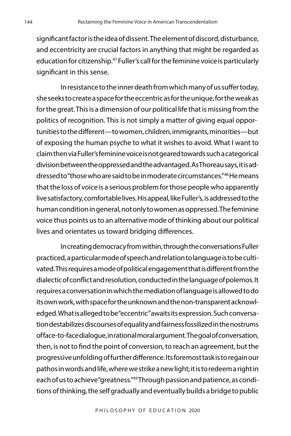significant factor is the idea of dissent. The element of discord, disturbance, and eccentricity are crucial factors in anything that might be regarded as education for citizenship.<sup>47</sup> Fuller's call for the feminine voice is particularly significant in this sense.

In resistance to the inner death from which many of us suffer today, she seeks to create a space for the eccentric as for the unique, for the weak as for the great. This is a dimension of our political life that is missing from the politics of recognition. This is not simply a matter of giving equal opportunities to the different—to women, children, immigrants, minorities—but of exposing the human psyche to what it wishes to avoid. What I want to claim then via Fuller's feminine voice is not geared towards such a categorical division between the oppressed and the advantaged. As Thoreau says, it is addressed to "those who are said to be in moderate circumstances."48 He means that the loss of voice is a serious problem for those people who apparently live satisfactory, comfortable lives. His appeal, like Fuller's, is addressed to the human condition in general, not only to women as oppressed. The feminine voice thus points us to an alternative mode of thinking about our political lives and orientates us toward bridging differences.

In creating democracy from within, through the conversations Fuller practiced, a particular mode of speech and relation to language is to be cultivated. This requires a mode of political engagement that is different from the dialectic of conflict and resolution, conducted in the language of polemos. It requires a conversation in which the mediation of language is allowed to do its own work, with space for the unknown and the non-transparent acknowledged. What is alleged to be "eccentric" awaits its expression. Such conversation destabilizes discourses of equality and fairness fossilized in the nostrums of face-to-face dialogue, in rational moral argument. The goal of conversation, then, is not to find the point of conversion, to reach an agreement, but the progressive unfolding of further difference. Its foremost task is to regain our pathos in words and life, where we strike a new light; it is to redeem a right in each of us to achieve "greatness."49 Through passion and patience, as conditions of thinking, the self gradually and eventually builds a bridge to public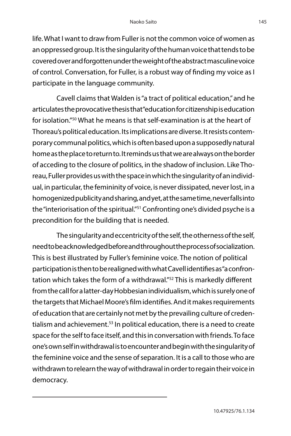life. What I want to draw from Fuller is not the common voice of women as an oppressed group. It is the singularity of the human voice that tends to be covered over and forgotten under the weight of the abstract masculine voice of control. Conversation, for Fuller, is a robust way of finding my voice as I participate in the language community.

Cavell claims that Walden is "a tract of political education," and he articulates the provocative thesis that "education for citizenship is education for isolation."50 What he means is that self-examination is at the heart of Thoreau's political education. Its implications are diverse. It resists contemporary communal politics, which is often based upon a supposedly natural home as the place to return to. It reminds us that we are always on the border of acceding to the closure of politics, in the shadow of inclusion. Like Thoreau, Fuller provides us with the space in which the singularity of an individual, in particular, the femininity of voice, is never dissipated, never lost, in a homogenized publicity and sharing, and yet, at the same time, never falls into the "interiorisation of the spiritual."51 Confronting one's divided psyche is a precondition for the building that is needed.

The singularity and eccentricity of the self, the otherness of the self, need to be acknowledged before and throughout the process of socialization. This is best illustrated by Fuller's feminine voice. The notion of political participation is then to be realigned with what Cavell identifies as "a confrontation which takes the form of a withdrawal."<sup>52</sup> This is markedly different from the call for a latter-day Hobbesian individualism, which is surely one of the targets that Michael Moore's film identifies. And it makes requirements of education that are certainly not met by the prevailing culture of credentialism and achievement.<sup>53</sup> In political education, there is a need to create space for the self to face itself, and this in conversation with friends. To face one's own self in withdrawal is to encounter and begin with the singularity of the feminine voice and the sense of separation. It is a call to those who are withdrawn to relearn the way of withdrawal in order to regain their voice in democracy.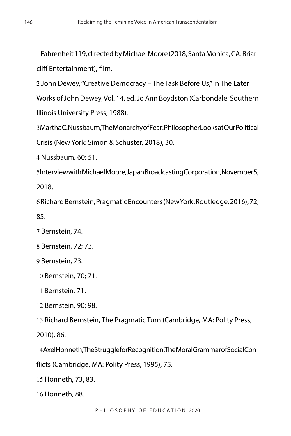Fahrenheit 119, directed by Michael Moore (2018; Santa Monica, CA: Briarcliff Entertainment), film.

 John Dewey, "Creative Democracy – The Task Before Us," in The Later Works of John Dewey, Vol. 14, ed. Jo Ann Boydston (Carbondale: Southern Illinois University Press, 1988).

 Martha C. Nussbaum, The Monarchy of Fear: Philosopher Looks at Our Political Crisis (New York: Simon & Schuster, 2018), 30.

Nussbaum, 60; 51.

 Interview with Michael Moore, Japan Broadcasting Corporation, November 5, 2018.

 Richard Bernstein, Pragmatic Encounters (New York: Routledge, 2016), 72; 85.

Bernstein, 74.

Bernstein, 72; 73.

Bernstein, 73.

Bernstein, 70; 71.

Bernstein, 71.

Bernstein, 90; 98.

Richard Bernstein, The Pragmatic Turn (Cambridge, MA: Polity Press,

2010), 86.

Axel Honneth, The Struggle for Recognition: The Moral Grammar of Social Con-

flicts (Cambridge, MA: Polity Press, 1995), 75.

Honneth, 73, 83.

Honneth, 88.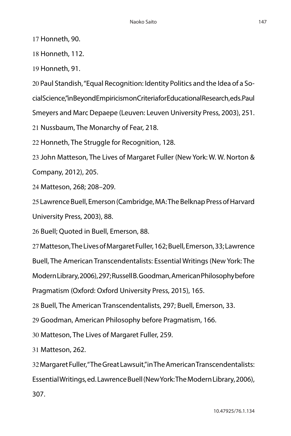17 Honneth, 90.

18 Honneth, 112.

19 Honneth, 91.

20 Paul Standish, "Equal Recognition: Identity Politics and the Idea of a So-

cial Science," in Beyond Empiricism on Criteria for Educational Research, eds. Paul

Smeyers and Marc Depaepe (Leuven: Leuven University Press, 2003), 251.

21 Nussbaum, The Monarchy of Fear, 218.

22 Honneth, The Struggle for Recognition, 128.

23 John Matteson, The Lives of Margaret Fuller (New York: W. W. Norton & Company, 2012), 205.

24 Matteson, 268; 208–209.

25 Lawrence Buell, Emerson (Cambridge, MA: The Belknap Press of Harvard University Press, 2003), 88.

26 Buell; Quoted in Buell, Emerson, 88.

27 Matteson, The Lives of Margaret Fuller, 162; Buell, Emerson, 33; Lawrence

Buell, The American Transcendentalists: Essential Writings (New York: The

Modern Library, 2006), 297; Russell B. Goodman, American Philosophy before

Pragmatism (Oxford: Oxford University Press, 2015), 165.

28 Buell, The American Transcendentalists, 297; Buell, Emerson, 33.

29 Goodman, American Philosophy before Pragmatism, 166.

30 Matteson, The Lives of Margaret Fuller, 259.

31 Matteson, 262.

32 Margaret Fuller, "The Great Lawsuit," in The American Transcendentalists: Essential Writings, ed. Lawrence Buell (New York: The Modern Library, 2006), 307.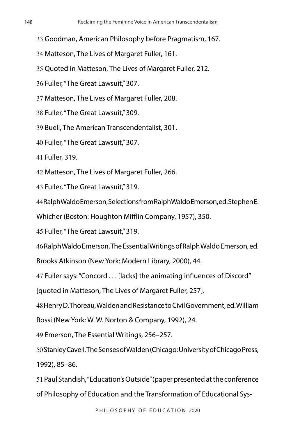- Goodman, American Philosophy before Pragmatism, 167.
- Matteson, The Lives of Margaret Fuller, 161.
- Quoted in Matteson, The Lives of Margaret Fuller, 212.
- Fuller, "The Great Lawsuit," 307.
- Matteson, The Lives of Margaret Fuller, 208.
- Fuller, "The Great Lawsuit," 309.
- Buell, The American Transcendentalist, 301.
- Fuller, "The Great Lawsuit," 307.
- Fuller, 319.
- Matteson, The Lives of Margaret Fuller, 266.
- Fuller, "The Great Lawsuit," 319.
- Ralph Waldo Emerson, Selections from Ralph Waldo Emerson, ed. Stephen E.
- Whicher (Boston: Houghton Mifflin Company, 1957), 350.
- Fuller, "The Great Lawsuit," 319.
- Ralph Waldo Emerson, The Essential Writings of Ralph Waldo Emerson, ed.
- Brooks Atkinson (New York: Modern Library, 2000), 44.
- Fuller says: "Concord . . . [lacks] the animating influences of Discord"
- [quoted in Matteson, The Lives of Margaret Fuller, 257].
- Henry D. Thoreau, Walden and Resistance to Civil Government, ed. William
- Rossi (New York: W. W. Norton & Company, 1992), 24.
- Emerson, The Essential Writings, 256–257.
- Stanley Cavell, The Senses of Walden (Chicago: University of Chicago Press, 1992), 85–86.
- Paul Standish, "Education's Outside" (paper presented at the conference of Philosophy of Education and the Transformation of Educational Sys-